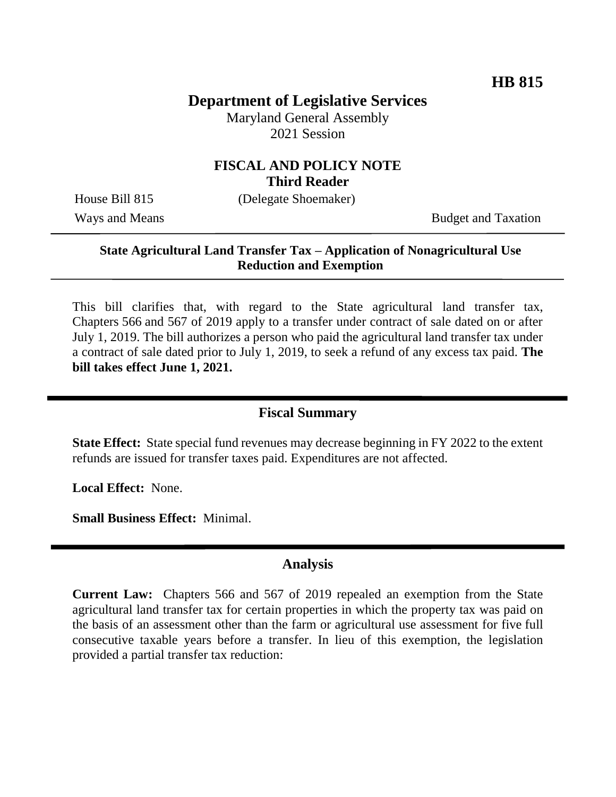# **Department of Legislative Services**

Maryland General Assembly 2021 Session

### **FISCAL AND POLICY NOTE Third Reader**

House Bill 815 (Delegate Shoemaker)

Ways and Means Budget and Taxation

#### **State Agricultural Land Transfer Tax – Application of Nonagricultural Use Reduction and Exemption**

This bill clarifies that, with regard to the State agricultural land transfer tax, Chapters 566 and 567 of 2019 apply to a transfer under contract of sale dated on or after July 1, 2019. The bill authorizes a person who paid the agricultural land transfer tax under a contract of sale dated prior to July 1, 2019, to seek a refund of any excess tax paid. **The bill takes effect June 1, 2021.**

### **Fiscal Summary**

**State Effect:** State special fund revenues may decrease beginning in FY 2022 to the extent refunds are issued for transfer taxes paid. Expenditures are not affected.

**Local Effect:** None.

**Small Business Effect:** Minimal.

#### **Analysis**

**Current Law:** Chapters 566 and 567 of 2019 repealed an exemption from the State agricultural land transfer tax for certain properties in which the property tax was paid on the basis of an assessment other than the farm or agricultural use assessment for five full consecutive taxable years before a transfer. In lieu of this exemption, the legislation provided a partial transfer tax reduction: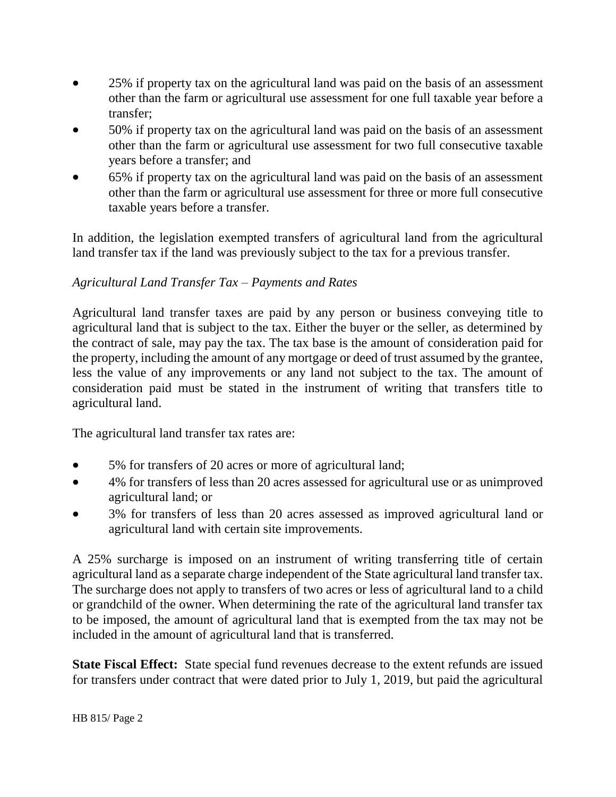- 25% if property tax on the agricultural land was paid on the basis of an assessment other than the farm or agricultural use assessment for one full taxable year before a transfer;
- 50% if property tax on the agricultural land was paid on the basis of an assessment other than the farm or agricultural use assessment for two full consecutive taxable years before a transfer; and
- 65% if property tax on the agricultural land was paid on the basis of an assessment other than the farm or agricultural use assessment for three or more full consecutive taxable years before a transfer.

In addition, the legislation exempted transfers of agricultural land from the agricultural land transfer tax if the land was previously subject to the tax for a previous transfer.

#### *Agricultural Land Transfer Tax – Payments and Rates*

Agricultural land transfer taxes are paid by any person or business conveying title to agricultural land that is subject to the tax. Either the buyer or the seller, as determined by the contract of sale, may pay the tax. The tax base is the amount of consideration paid for the property, including the amount of any mortgage or deed of trust assumed by the grantee, less the value of any improvements or any land not subject to the tax. The amount of consideration paid must be stated in the instrument of writing that transfers title to agricultural land.

The agricultural land transfer tax rates are:

- 5% for transfers of 20 acres or more of agricultural land;
- 4% for transfers of less than 20 acres assessed for agricultural use or as unimproved agricultural land; or
- 3% for transfers of less than 20 acres assessed as improved agricultural land or agricultural land with certain site improvements.

A 25% surcharge is imposed on an instrument of writing transferring title of certain agricultural land as a separate charge independent of the State agricultural land transfer tax. The surcharge does not apply to transfers of two acres or less of agricultural land to a child or grandchild of the owner. When determining the rate of the agricultural land transfer tax to be imposed, the amount of agricultural land that is exempted from the tax may not be included in the amount of agricultural land that is transferred.

**State Fiscal Effect:** State special fund revenues decrease to the extent refunds are issued for transfers under contract that were dated prior to July 1, 2019, but paid the agricultural